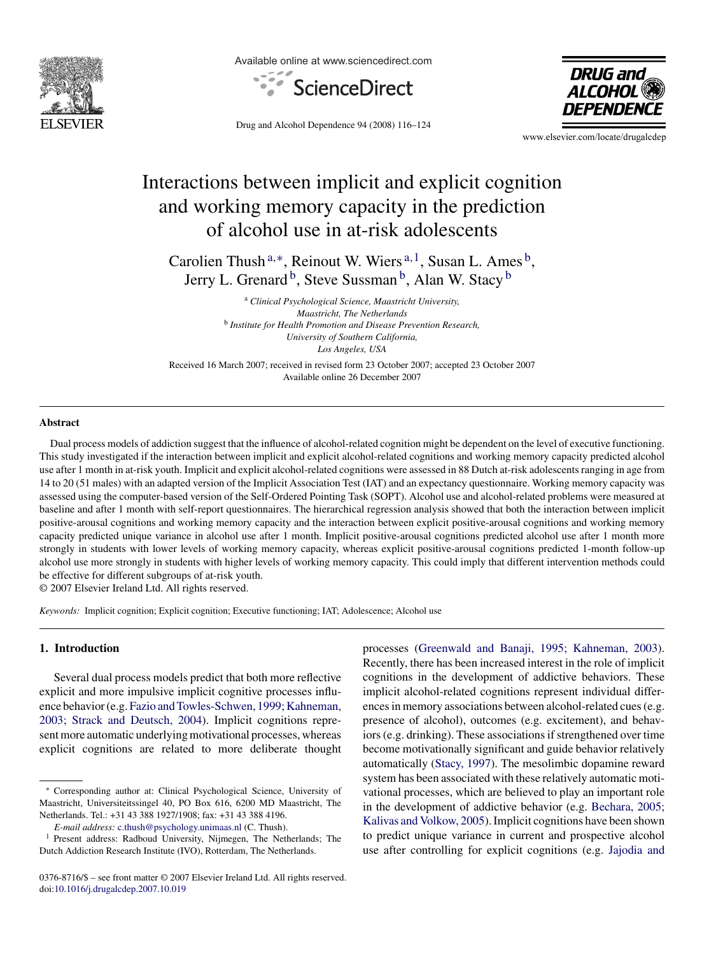

Available online at www.sciencedirect.com





Drug and Alcohol Dependence 94 (2008) 116–124

www.elsevier.com/locate/drugalcdep

# Interactions between implicit and explicit cognition and working memory capacity in the prediction of alcohol use in at-risk adolescents

Carolien Thush<sup>a,\*</sup>, Reinout W. Wiers<sup>a,1</sup>, Susan L. Ames<sup>b</sup>, Jerry L. Grenard<sup>b</sup>, Steve Sussman<sup>b</sup>, Alan W. Stacy<sup>b</sup>

> <sup>a</sup> *Clinical Psychological Science, Maastricht University, Maastricht, The Netherlands* <sup>b</sup> *Institute for Health Promotion and Disease Prevention Research, University of Southern California, Los Angeles, USA*

Received 16 March 2007; received in revised form 23 October 2007; accepted 23 October 2007 Available online 26 December 2007

#### **Abstract**

Dual process models of addiction suggest that the influence of alcohol-related cognition might be dependent on the level of executive functioning. This study investigated if the interaction between implicit and explicit alcohol-related cognitions and working memory capacity predicted alcohol use after 1 month in at-risk youth. Implicit and explicit alcohol-related cognitions were assessed in 88 Dutch at-risk adolescents ranging in age from 14 to 20 (51 males) with an adapted version of the Implicit Association Test (IAT) and an expectancy questionnaire. Working memory capacity was assessed using the computer-based version of the Self-Ordered Pointing Task (SOPT). Alcohol use and alcohol-related problems were measured at baseline and after 1 month with self-report questionnaires. The hierarchical regression analysis showed that both the interaction between implicit positive-arousal cognitions and working memory capacity and the interaction between explicit positive-arousal cognitions and working memory capacity predicted unique variance in alcohol use after 1 month. Implicit positive-arousal cognitions predicted alcohol use after 1 month more strongly in students with lower levels of working memory capacity, whereas explicit positive-arousal cognitions predicted 1-month follow-up alcohol use more strongly in students with higher levels of working memory capacity. This could imply that different intervention methods could be effective for different subgroups of at-risk youth.

© 2007 Elsevier Ireland Ltd. All rights reserved.

*Keywords:* Implicit cognition; Explicit cognition; Executive functioning; IAT; Adolescence; Alcohol use

#### **1. Introduction**

Several dual process models predict that both more reflective explicit and more impulsive implicit cognitive processes influence behavior (e.g. [Fazio and Towles-Schwen, 1999; Kahneman,](#page-7-0) [2003; Strack and Deutsch, 2004\).](#page-7-0) Implicit cognitions represent more automatic underlying motivational processes, whereas explicit cognitions are related to more deliberate thought

*E-mail address:* [c.thush@psychology.unimaas.nl](mailto:c.thush@psychology.unimaas.nl) (C. Thush).

processes [\(Greenwald and Banaji, 1995; Kahneman, 2003\).](#page-8-0) Recently, there has been increased interest in the role of implicit cognitions in the development of addictive behaviors. These implicit alcohol-related cognitions represent individual differences in memory associations between alcohol-related cues (e.g. presence of alcohol), outcomes (e.g. excitement), and behaviors (e.g. drinking). These associations if strengthened over time become motivationally significant and guide behavior relatively automatically ([Stacy, 1997\).](#page-8-0) The mesolimbic dopamine reward system has been associated with these relatively automatic motivational processes, which are believed to play an important role in the development of addictive behavior (e.g. [Bechara, 2005;](#page-7-0) [Kalivas and Volkow, 2005\).](#page-7-0) Implicit cognitions have been shown to predict unique variance in current and prospective alcohol use after controlling for explicit cognitions (e.g. [Jajodia and](#page-8-0)

<sup>∗</sup> Corresponding author at: Clinical Psychological Science, University of Maastricht, Universiteitssingel 40, PO Box 616, 6200 MD Maastricht, The Netherlands. Tel.: +31 43 388 1927/1908; fax: +31 43 388 4196.

<sup>1</sup> Present address: Radboud University, Nijmegen, The Netherlands; The Dutch Addiction Research Institute (IVO), Rotterdam, The Netherlands.

<sup>0376-8716/\$ –</sup> see front matter © 2007 Elsevier Ireland Ltd. All rights reserved. doi[:10.1016/j.drugalcdep.2007.10.019](dx.doi.org/10.1016/j.drugalcdep.2007.10.019)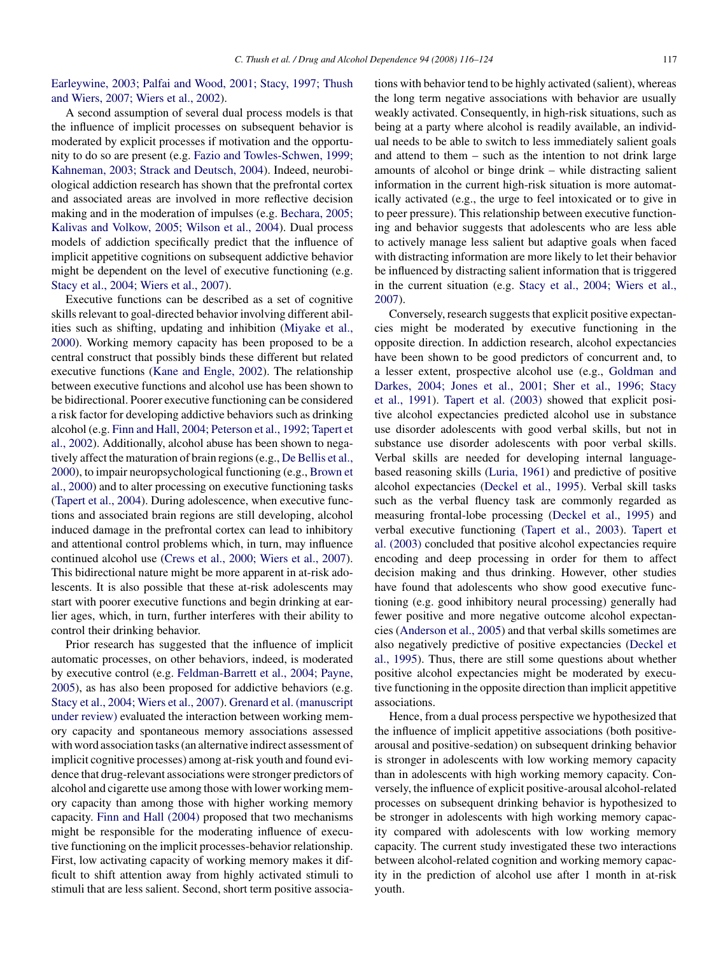[Earleywine, 2003; Palfai and Wood, 2001; Stacy, 1997; Thush](#page-8-0) [and Wiers, 2007; Wiers et al., 2002\).](#page-8-0)

A second assumption of several dual process models is that the influence of implicit processes on subsequent behavior is moderated by explicit processes if motivation and the opportunity to do so are present (e.g. [Fazio and Towles-Schwen, 1999;](#page-7-0) [Kahneman, 2003; Strack and Deutsch, 2004\).](#page-7-0) Indeed, neurobiological addiction research has shown that the prefrontal cortex and associated areas are involved in more reflective decision making and in the moderation of impulses (e.g. [Bechara, 2005;](#page-7-0) [Kalivas and Volkow, 2005; Wilson et al., 2004\).](#page-7-0) Dual process models of addiction specifically predict that the influence of implicit appetitive cognitions on subsequent addictive behavior might be dependent on the level of executive functioning (e.g. [Stacy et al., 2004; Wiers et al., 2007\).](#page-8-0)

Executive functions can be described as a set of cognitive skills relevant to goal-directed behavior involving different abilities such as shifting, updating and inhibition [\(Miyake et al.,](#page-8-0) [2000\).](#page-8-0) Working memory capacity has been proposed to be a central construct that possibly binds these different but related executive functions [\(Kane and Engle, 2002\).](#page-8-0) The relationship between executive functions and alcohol use has been shown to be bidirectional. Poorer executive functioning can be considered a risk factor for developing addictive behaviors such as drinking alcohol (e.g. [Finn and Hall, 2004; Peterson et al., 1992; Tapert et](#page-8-0) [al., 2002\).](#page-8-0) Additionally, alcohol abuse has been shown to negatively affect the maturation of brain regions (e.g., [De Bellis et al.,](#page-7-0) [2000\),](#page-7-0) to impair neuropsychological functioning (e.g., [Brown et](#page-7-0) [al., 2000\)](#page-7-0) and to alter processing on executive functioning tasks ([Tapert et al., 2004\).](#page-8-0) During adolescence, when executive functions and associated brain regions are still developing, alcohol induced damage in the prefrontal cortex can lead to inhibitory and attentional control problems which, in turn, may influence continued alcohol use ([Crews et al., 2000; Wiers et al., 2007\).](#page-7-0) This bidirectional nature might be more apparent in at-risk adolescents. It is also possible that these at-risk adolescents may start with poorer executive functions and begin drinking at earlier ages, which, in turn, further interferes with their ability to control their drinking behavior.

Prior research has suggested that the influence of implicit automatic processes, on other behaviors, indeed, is moderated by executive control (e.g. [Feldman-Barrett et al., 2004; Payne,](#page-7-0) [2005\),](#page-7-0) as has also been proposed for addictive behaviors (e.g. [Stacy et al., 2004; Wiers et al., 2007\).](#page-8-0) [Grenard et al. \(manuscript](#page-8-0) [under review\)](#page-8-0) evaluated the interaction between working memory capacity and spontaneous memory associations assessed with word association tasks (an alternative indirect assessment of implicit cognitive processes) among at-risk youth and found evidence that drug-relevant associations were stronger predictors of alcohol and cigarette use among those with lower working memory capacity than among those with higher working memory capacity. [Finn and Hall \(2004\)](#page-8-0) proposed that two mechanisms might be responsible for the moderating influence of executive functioning on the implicit processes-behavior relationship. First, low activating capacity of working memory makes it difficult to shift attention away from highly activated stimuli to stimuli that are less salient. Second, short term positive associations with behavior tend to be highly activated (salient), whereas the long term negative associations with behavior are usually weakly activated. Consequently, in high-risk situations, such as being at a party where alcohol is readily available, an individual needs to be able to switch to less immediately salient goals and attend to them – such as the intention to not drink large amounts of alcohol or binge drink – while distracting salient information in the current high-risk situation is more automatically activated (e.g., the urge to feel intoxicated or to give in to peer pressure). This relationship between executive functioning and behavior suggests that adolescents who are less able to actively manage less salient but adaptive goals when faced with distracting information are more likely to let their behavior be influenced by distracting salient information that is triggered in the current situation (e.g. [Stacy et al., 2004; Wiers et al.,](#page-8-0) [2007\).](#page-8-0)

Conversely, research suggests that explicit positive expectancies might be moderated by executive functioning in the opposite direction. In addiction research, alcohol expectancies have been shown to be good predictors of concurrent and, to a lesser extent, prospective alcohol use (e.g., [Goldman and](#page-8-0) [Darkes, 2004; Jones et al., 2001; Sher et al., 1996; Stacy](#page-8-0) [et al., 1991\).](#page-8-0) [Tapert et al. \(2003\)](#page-8-0) showed that explicit positive alcohol expectancies predicted alcohol use in substance use disorder adolescents with good verbal skills, but not in substance use disorder adolescents with poor verbal skills. Verbal skills are needed for developing internal languagebased reasoning skills ([Luria, 1961\)](#page-8-0) and predictive of positive alcohol expectancies ([Deckel et al., 1995\).](#page-7-0) Verbal skill tasks such as the verbal fluency task are commonly regarded as measuring frontal-lobe processing ([Deckel et al., 1995\)](#page-7-0) and verbal executive functioning ([Tapert et al., 2003\).](#page-8-0) [Tapert et](#page-8-0) [al. \(2003\)](#page-8-0) concluded that positive alcohol expectancies require encoding and deep processing in order for them to affect decision making and thus drinking. However, other studies have found that adolescents who show good executive functioning (e.g. good inhibitory neural processing) generally had fewer positive and more negative outcome alcohol expectancies ([Anderson et al., 2005\)](#page-7-0) and that verbal skills sometimes are also negatively predictive of positive expectancies ([Deckel et](#page-7-0) [al., 1995\).](#page-7-0) Thus, there are still some questions about whether positive alcohol expectancies might be moderated by executive functioning in the opposite direction than implicit appetitive associations.

Hence, from a dual process perspective we hypothesized that the influence of implicit appetitive associations (both positivearousal and positive-sedation) on subsequent drinking behavior is stronger in adolescents with low working memory capacity than in adolescents with high working memory capacity. Conversely, the influence of explicit positive-arousal alcohol-related processes on subsequent drinking behavior is hypothesized to be stronger in adolescents with high working memory capacity compared with adolescents with low working memory capacity. The current study investigated these two interactions between alcohol-related cognition and working memory capacity in the prediction of alcohol use after 1 month in at-risk youth.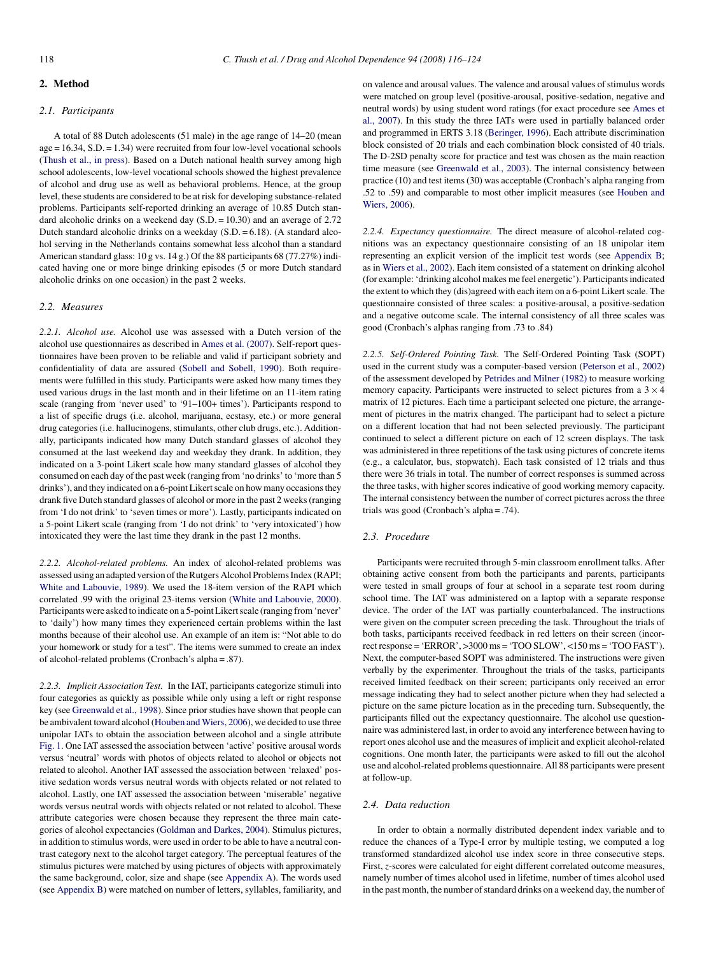## **2. Method**

#### *2.1. Participants*

A total of 88 Dutch adolescents (51 male) in the age range of 14–20 (mean age = 16.34, S.D. = 1.34) were recruited from four low-level vocational schools [\(Thush et al., in press\).](#page-8-0) Based on a Dutch national health survey among high school adolescents, low-level vocational schools showed the highest prevalence of alcohol and drug use as well as behavioral problems. Hence, at the group level, these students are considered to be at risk for developing substance-related problems. Participants self-reported drinking an average of 10.85 Dutch standard alcoholic drinks on a weekend day  $(S.D. = 10.30)$  and an average of 2.72 Dutch standard alcoholic drinks on a weekday (S.D. = 6.18). (A standard alcohol serving in the Netherlands contains somewhat less alcohol than a standard American standard glass: 10 g vs. 14 g.) Of the 88 participants 68 (77.27%) indicated having one or more binge drinking episodes (5 or more Dutch standard alcoholic drinks on one occasion) in the past 2 weeks.

#### *2.2. Measures*

*2.2.1. Alcohol use.* Alcohol use was assessed with a Dutch version of the alcohol use questionnaires as described in [Ames et al. \(2007\). S](#page-7-0)elf-report questionnaires have been proven to be reliable and valid if participant sobriety and confidentiality of data are assured ([Sobell and Sobell, 1990\).](#page-8-0) Both requirements were fulfilled in this study. Participants were asked how many times they used various drugs in the last month and in their lifetime on an 11-item rating scale (ranging from 'never used' to '91–100+ times'). Participants respond to a list of specific drugs (i.e. alcohol, marijuana, ecstasy, etc.) or more general drug categories (i.e. hallucinogens, stimulants, other club drugs, etc.). Additionally, participants indicated how many Dutch standard glasses of alcohol they consumed at the last weekend day and weekday they drank. In addition, they indicated on a 3-point Likert scale how many standard glasses of alcohol they consumed on each day of the past week (ranging from 'no drinks' to 'more than 5 drinks'), and they indicated on a 6-point Likert scale on how many occasions they drank five Dutch standard glasses of alcohol or more in the past 2 weeks (ranging from 'I do not drink' to 'seven times or more'). Lastly, participants indicated on a 5-point Likert scale (ranging from 'I do not drink' to 'very intoxicated') how intoxicated they were the last time they drank in the past 12 months.

*2.2.2. Alcohol-related problems.* An index of alcohol-related problems was assessed using an adapted version of the Rutgers Alcohol Problems Index (RAPI; [White and Labouvie, 1989\).](#page-8-0) We used the 18-item version of the RAPI which correlated .99 with the original 23-items version [\(White and Labouvie, 2000\).](#page-8-0) Participants were asked to indicate on a 5-point Likert scale (ranging from 'never' to 'daily') how many times they experienced certain problems within the last months because of their alcohol use. An example of an item is: "Not able to do your homework or study for a test". The items were summed to create an index of alcohol-related problems (Cronbach's alpha = .87).

*2.2.3. Implicit Association Test.* In the IAT, participants categorize stimuli into four categories as quickly as possible while only using a left or right response key (see [Greenwald et al., 1998\).](#page-8-0) Since prior studies have shown that people can be ambivalent toward alcohol ([Houben and Wiers, 2006\),](#page-8-0) we decided to use three unipolar IATs to obtain the association between alcohol and a single attribute [Fig. 1. O](#page-4-0)ne IAT assessed the association between 'active' positive arousal words versus 'neutral' words with photos of objects related to alcohol or objects not related to alcohol. Another IAT assessed the association between 'relaxed' positive sedation words versus neutral words with objects related or not related to alcohol. Lastly, one IAT assessed the association between 'miserable' negative words versus neutral words with objects related or not related to alcohol. These attribute categories were chosen because they represent the three main categories of alcohol expectancies ([Goldman and Darkes, 2004\).](#page-8-0) Stimulus pictures, in addition to stimulus words, were used in order to be able to have a neutral contrast category next to the alcohol target category. The perceptual features of the stimulus pictures were matched by using pictures of objects with approximately the same background, color, size and shape (see [Appendix A\).](#page-7-0) The words used (see [Appendix B\) w](#page-7-0)ere matched on number of letters, syllables, familiarity, and on valence and arousal values. The valence and arousal values of stimulus words were matched on group level (positive-arousal, positive-sedation, negative and neutral words) by using student word ratings (for exact procedure see [Ames et](#page-7-0) [al., 2007\).](#page-7-0) In this study the three IATs were used in partially balanced order and programmed in ERTS 3.18 [\(Beringer, 1996\).](#page-7-0) Each attribute discrimination block consisted of 20 trials and each combination block consisted of 40 trials. The D-2SD penalty score for practice and test was chosen as the main reaction time measure (see [Greenwald et al., 2003\).](#page-8-0) The internal consistency between practice (10) and test items (30) was acceptable (Cronbach's alpha ranging from .52 to .59) and comparable to most other implicit measures (see [Houben and](#page-8-0) [Wiers, 2006\).](#page-8-0)

*2.2.4. Expectancy questionnaire.* The direct measure of alcohol-related cognitions was an expectancy questionnaire consisting of an 18 unipolar item representing an explicit version of the implicit test words (see [Appendix B;](#page-7-0) as in [Wiers et al., 2002\).](#page-8-0) Each item consisted of a statement on drinking alcohol (for example: 'drinking alcohol makes me feel energetic'). Participants indicated the extent to which they (dis)agreed with each item on a 6-point Likert scale. The questionnaire consisted of three scales: a positive-arousal, a positive-sedation and a negative outcome scale. The internal consistency of all three scales was good (Cronbach's alphas ranging from .73 to .84)

*2.2.5. Self-Ordered Pointing Task.* The Self-Ordered Pointing Task (SOPT) used in the current study was a computer-based version ([Peterson et al., 2002\)](#page-8-0) of the assessment developed by [Petrides and Milner \(1982\)](#page-8-0) to measure working memory capacity. Participants were instructed to select pictures from a  $3 \times 4$ matrix of 12 pictures. Each time a participant selected one picture, the arrangement of pictures in the matrix changed. The participant had to select a picture on a different location that had not been selected previously. The participant continued to select a different picture on each of 12 screen displays. The task was administered in three repetitions of the task using pictures of concrete items (e.g., a calculator, bus, stopwatch). Each task consisted of 12 trials and thus there were 36 trials in total. The number of correct responses is summed across the three tasks, with higher scores indicative of good working memory capacity. The internal consistency between the number of correct pictures across the three trials was good (Cronbach's alpha = .74).

#### *2.3. Procedure*

Participants were recruited through 5-min classroom enrollment talks. After obtaining active consent from both the participants and parents, participants were tested in small groups of four at school in a separate test room during school time. The IAT was administered on a laptop with a separate response device. The order of the IAT was partially counterbalanced. The instructions were given on the computer screen preceding the task. Throughout the trials of both tasks, participants received feedback in red letters on their screen (incorrect response = 'ERROR',  $>3000$  ms = 'TOO SLOW',  $<150$  ms = 'TOO FAST'). Next, the computer-based SOPT was administered. The instructions were given verbally by the experimenter. Throughout the trials of the tasks, participants received limited feedback on their screen; participants only received an error message indicating they had to select another picture when they had selected a picture on the same picture location as in the preceding turn. Subsequently, the participants filled out the expectancy questionnaire. The alcohol use questionnaire was administered last, in order to avoid any interference between having to report ones alcohol use and the measures of implicit and explicit alcohol-related cognitions. One month later, the participants were asked to fill out the alcohol use and alcohol-related problems questionnaire. All 88 participants were present at follow-up.

#### *2.4. Data reduction*

In order to obtain a normally distributed dependent index variable and to reduce the chances of a Type-I error by multiple testing, we computed a log transformed standardized alcohol use index score in three consecutive steps. First, *z*-scores were calculated for eight different correlated outcome measures, namely number of times alcohol used in lifetime, number of times alcohol used in the past month, the number of standard drinks on a weekend day, the number of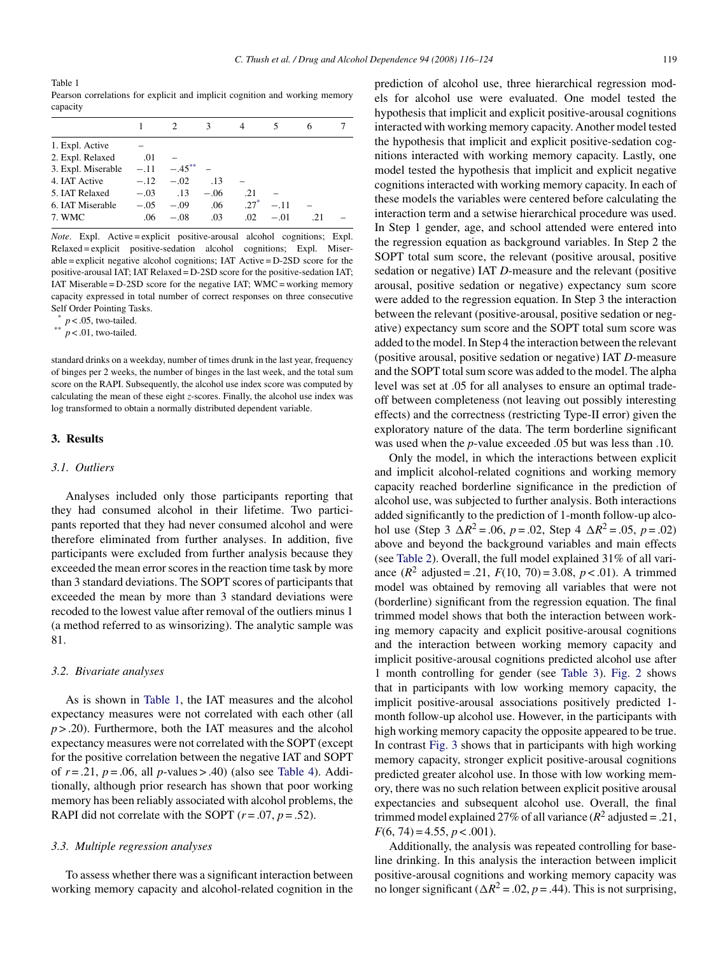Table 1 Pearson correlations for explicit and implicit cognition and working memory capacity

|                    |        |           | $\mathcal{F}$ |        |        | 6   |  |
|--------------------|--------|-----------|---------------|--------|--------|-----|--|
| 1. Expl. Active    |        |           |               |        |        |     |  |
| 2. Expl. Relaxed   | .01    |           |               |        |        |     |  |
| 3. Expl. Miserable | $-.11$ | $-.45***$ |               |        |        |     |  |
| 4. IAT Active      | $-.12$ | $-.02$    | .13           |        |        |     |  |
| 5. IAT Relaxed     | $-.03$ | .13       | $-.06$        | .21    |        |     |  |
| 6. IAT Miserable   | $-.05$ | $-.09$    | .06           | $.27*$ | $-.11$ |     |  |
| 7. WMC             | .06    | $-.08$    | .03           | .02    | $-.01$ | -21 |  |
|                    |        |           |               |        |        |     |  |

*Note*. Expl. Active = explicit positive-arousal alcohol cognitions; Expl. Relaxed = explicit positive-sedation alcohol cognitions; Expl. Miserable = explicit negative alcohol cognitions; IAT Active = D-2SD score for the positive-arousal IAT; IAT Relaxed = D-2SD score for the positive-sedation IAT; IAT Miserable = D-2SD score for the negative IAT; WMC = working memory capacity expressed in total number of correct responses on three consecutive Self Order Pointing Tasks.

 $p < .05$ , two-tailed.

 $p < .01$ , two-tailed.

standard drinks on a weekday, number of times drunk in the last year, frequency of binges per 2 weeks, the number of binges in the last week, and the total sum score on the RAPI. Subsequently, the alcohol use index score was computed by calculating the mean of these eight *z*-scores. Finally, the alcohol use index was log transformed to obtain a normally distributed dependent variable.

## **3. Results**

## *3.1. Outliers*

Analyses included only those participants reporting that they had consumed alcohol in their lifetime. Two participants reported that they had never consumed alcohol and were therefore eliminated from further analyses. In addition, five participants were excluded from further analysis because they exceeded the mean error scores in the reaction time task by more than 3 standard deviations. The SOPT scores of participants that exceeded the mean by more than 3 standard deviations were recoded to the lowest value after removal of the outliers minus 1 (a method referred to as winsorizing). The analytic sample was 81.

#### *3.2. Bivariate analyses*

As is shown in Table 1, the IAT measures and the alcohol expectancy measures were not correlated with each other (all *p* > .20). Furthermore, both the IAT measures and the alcohol expectancy measures were not correlated with the SOPT (except for the positive correlation between the negative IAT and SOPT of *r* = .21, *p* = .06, all *p*-values > .40) (also see [Table 4\).](#page-4-0) Additionally, although prior research has shown that poor working memory has been reliably associated with alcohol problems, the RAPI did not correlate with the SOPT  $(r = .07, p = .52)$ .

## *3.3. Multiple regression analyses*

To assess whether there was a significant interaction between working memory capacity and alcohol-related cognition in the prediction of alcohol use, three hierarchical regression models for alcohol use were evaluated. One model tested the hypothesis that implicit and explicit positive-arousal cognitions interacted with working memory capacity. Another model tested the hypothesis that implicit and explicit positive-sedation cognitions interacted with working memory capacity. Lastly, one model tested the hypothesis that implicit and explicit negative cognitions interacted with working memory capacity. In each of these models the variables were centered before calculating the interaction term and a setwise hierarchical procedure was used. In Step 1 gender, age, and school attended were entered into the regression equation as background variables. In Step 2 the SOPT total sum score, the relevant (positive arousal, positive sedation or negative) IAT *D*-measure and the relevant (positive arousal, positive sedation or negative) expectancy sum score were added to the regression equation. In Step 3 the interaction between the relevant (positive-arousal, positive sedation or negative) expectancy sum score and the SOPT total sum score was added to the model. In Step 4 the interaction between the relevant (positive arousal, positive sedation or negative) IAT *D*-measure and the SOPT total sum score was added to the model. The alpha level was set at .05 for all analyses to ensure an optimal tradeoff between completeness (not leaving out possibly interesting effects) and the correctness (restricting Type-II error) given the exploratory nature of the data. The term borderline significant was used when the *p*-value exceeded .05 but was less than .10.

Only the model, in which the interactions between explicit and implicit alcohol-related cognitions and working memory capacity reached borderline significance in the prediction of alcohol use, was subjected to further analysis. Both interactions added significantly to the prediction of 1-month follow-up alcohol use (Step 3  $\Delta R^2 = .06$ ,  $p = .02$ , Step 4  $\Delta R^2 = .05$ ,  $p = .02$ ) above and beyond the background variables and main effects (see [Table 2\).](#page-4-0) Overall, the full model explained 31% of all variance  $(R^2 \text{ adjusted} = .21, F(10, 70) = 3.08, p < .01)$ . A trimmed model was obtained by removing all variables that were not (borderline) significant from the regression equation. The final trimmed model shows that both the interaction between working memory capacity and explicit positive-arousal cognitions and the interaction between working memory capacity and implicit positive-arousal cognitions predicted alcohol use after 1 month controlling for gender (see [Table 3\)](#page-4-0). [Fig. 2](#page-5-0) shows that in participants with low working memory capacity, the implicit positive-arousal associations positively predicted 1 month follow-up alcohol use. However, in the participants with high working memory capacity the opposite appeared to be true. In contrast [Fig. 3](#page-5-0) shows that in participants with high working memory capacity, stronger explicit positive-arousal cognitions predicted greater alcohol use. In those with low working memory, there was no such relation between explicit positive arousal expectancies and subsequent alcohol use. Overall, the final trimmed model explained 27% of all variance  $(R^2 \text{ adjusted} = .21,$ *F*(6, 74) = 4.55, *p* < .001).

Additionally, the analysis was repeated controlling for baseline drinking. In this analysis the interaction between implicit positive-arousal cognitions and working memory capacity was no longer significant ( $\Delta R^2$  = .02, *p* = .44). This is not surprising,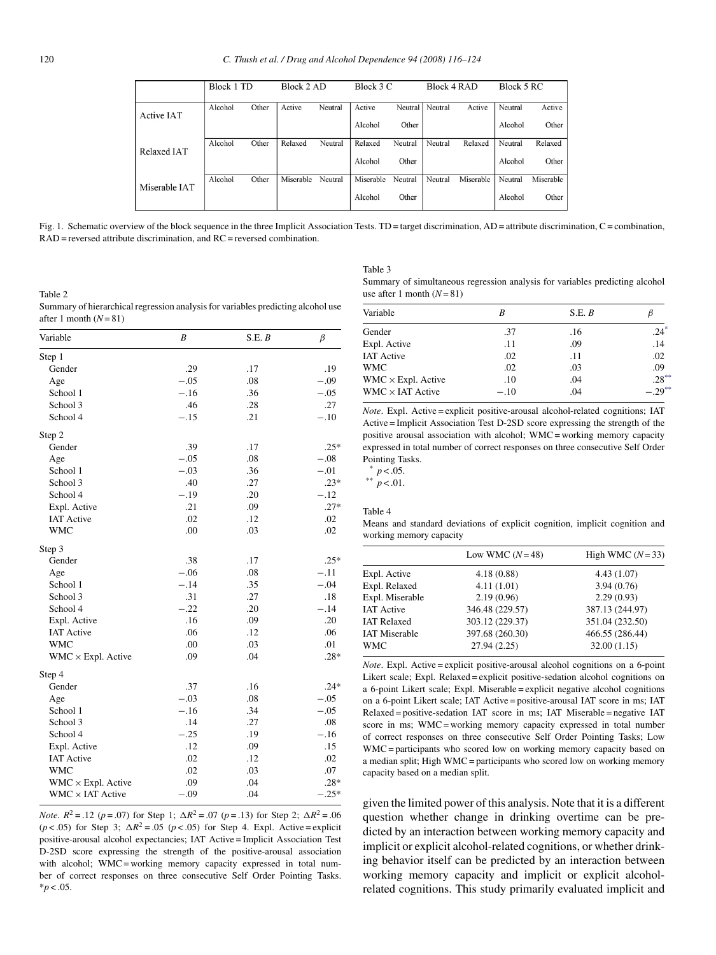<span id="page-4-0"></span>

|               | Block 1 TD |       | Block 2 AD |         | Block 3 C |         | Block 4 RAD |           | Block 5 RC |           |
|---------------|------------|-------|------------|---------|-----------|---------|-------------|-----------|------------|-----------|
|               | Alcohol    | Other | Active     | Neutral | Active    | Neutral | Neutral     | Active    | Neutral    | Active    |
| Active IAT    |            |       |            |         | Alcohol   | Other   |             |           | Alcohol    | Other     |
| Relaxed IAT   | Alcohol    | Other | Relaxed    | Neutral | Relaxed   | Neutral | Neutral     | Relaxed   | Neutral    | Relaxed   |
|               |            |       |            |         | Alcohol   | Other   |             |           | Alcohol    | Other     |
| Miserable IAT | Alcohol    | Other | Miserable  | Neutral | Miserable | Neutral | Neutral     | Miserable | Neutral    | Miserable |
|               |            |       |            |         | Alcohol   | Other   |             |           | Alcohol    | Other     |

Fig. 1. Schematic overview of the block sequence in the three Implicit Association Tests. TD = target discrimination, AD = attribute discrimination, C = combination, RAD = reversed attribute discrimination, and RC = reversed combination.

Table 2 Summary of hierarchical regression analysis for variables predicting alcohol use after 1 month  $(N=81)$ 

| Variable                   | B      | S.E. B | $\beta$ |
|----------------------------|--------|--------|---------|
| Step 1                     |        |        |         |
| Gender                     | .29    | .17    | .19     |
| Age                        | $-.05$ | .08    | $-.09$  |
| School 1                   | $-.16$ | .36    | $-.05$  |
| School 3                   | .46    | .28    | .27     |
| School 4                   | $-.15$ | .21    | $-.10$  |
| Step 2                     |        |        |         |
| Gender                     | .39    | .17    | $.25*$  |
| Age                        | $-.05$ | .08    | $-.08$  |
| School 1                   | $-.03$ | .36    | $-.01$  |
| School 3                   | .40    | .27    | $.23*$  |
| School 4                   | $-.19$ | .20    | $-.12$  |
| Expl. Active               | .21    | .09    | $.27*$  |
| <b>IAT Active</b>          | .02    | .12    | .02     |
| <b>WMC</b>                 | .00    | .03    | .02     |
| Step 3                     |        |        |         |
| Gender                     | .38    | .17    | $.25*$  |
| Age                        | $-.06$ | .08    | $-.11$  |
| School 1                   | $-.14$ | .35    | $-.04$  |
| School 3                   | .31    | .27    | .18     |
| School 4                   | $-.22$ | .20    | $-.14$  |
| Expl. Active               | .16    | .09    | .20     |
| <b>IAT Active</b>          | .06    | .12    | .06     |
| <b>WMC</b>                 | .00    | .03    | .01     |
| $WMC \times Expl$ . Active | .09    | .04    | $.28*$  |
| Step 4                     |        |        |         |
| Gender                     | .37    | .16    | $.24*$  |
| Age                        | $-.03$ | .08    | $-.05$  |
| School 1                   | $-.16$ | .34    | $-.05$  |
| School 3                   | .14    | .27    | .08     |
| School 4                   | $-.25$ | .19    | $-.16$  |
| Expl. Active               | .12    | .09    | .15     |
| <b>IAT Active</b>          | .02    | .12    | .02     |
| <b>WMC</b>                 | .02    | .03    | .07     |
| $WMC \times Expl.$ Active  | .09    | .04    | $.28*$  |
| $WMC \times IAT$ Active    | $-.09$ | .04    | $-.25*$ |

*Note*.  $R^2 = .12$  ( $p = .07$ ) for Step 1;  $\Delta R^2 = .07$  ( $p = .13$ ) for Step 2;  $\Delta R^2 = .06$  $(p < .05)$  for Step 3;  $\Delta R^2 = .05$   $(p < .05)$  for Step 4. Expl. Active = explicit positive-arousal alcohol expectancies; IAT Active = Implicit Association Test D-2SD score expressing the strength of the positive-arousal association with alcohol; WMC = working memory capacity expressed in total number of correct responses on three consecutive Self Order Pointing Tasks.  $*p$  < .05.

Table 3 Summary of simultaneous regression analysis for variables predicting alcohol use after 1 month  $(N=81)$ 

| Variable                  |        | S.E. B |           |
|---------------------------|--------|--------|-----------|
| Gender                    | .37    | .16    | $.24*$    |
| Expl. Active              | .11    | .09    | .14       |
| <b>IAT Active</b>         | .02    | .11    | .02       |
| WMC                       | .02    | .03    | .09       |
| $WMC \times Expl.$ Active | .10    | .04    | $.28***$  |
| $WMC \times IAT$ Active   | $-.10$ | .04    | $-.29***$ |
|                           |        |        |           |

*Note*. Expl. Active=explicit positive-arousal alcohol-related cognitions; IAT Active = Implicit Association Test D-2SD score expressing the strength of the positive arousal association with alcohol; WMC = working memory capacity expressed in total number of correct responses on three consecutive Self Order Pointing Tasks.



 $p < .01$ .

Table 4

Means and standard deviations of explicit cognition, implicit cognition and working memory capacity

|                      | Low WMC $(N=48)$ | High WMC $(N=33)$ |
|----------------------|------------------|-------------------|
| Expl. Active         | 4.18(0.88)       | 4.43(1.07)        |
| Expl. Relaxed        | 4.11(1.01)       | 3.94(0.76)        |
| Expl. Miserable      | 2.19(0.96)       | 2.29(0.93)        |
| <b>IAT Active</b>    | 346.48 (229.57)  | 387.13 (244.97)   |
| <b>IAT Relaxed</b>   | 303.12 (229.37)  | 351.04 (232.50)   |
| <b>IAT Miserable</b> | 397.68 (260.30)  | 466.55 (286.44)   |
| <b>WMC</b>           | 27.94 (2.25)     | 32.00(1.15)       |

*Note*. Expl. Active = explicit positive-arousal alcohol cognitions on a 6-point Likert scale; Expl. Relaxed = explicit positive-sedation alcohol cognitions on a 6-point Likert scale; Expl. Miserable = explicit negative alcohol cognitions on a 6-point Likert scale; IAT Active = positive-arousal IAT score in ms; IAT Relaxed = positive-sedation IAT score in ms; IAT Miserable = negative IAT score in ms; WMC = working memory capacity expressed in total number of correct responses on three consecutive Self Order Pointing Tasks; Low WMC = participants who scored low on working memory capacity based on a median split; High WMC = participants who scored low on working memory capacity based on a median split.

given the limited power of this analysis. Note that it is a different question whether change in drinking overtime can be predicted by an interaction between working memory capacity and implicit or explicit alcohol-related cognitions, or whether drinking behavior itself can be predicted by an interaction between working memory capacity and implicit or explicit alcoholrelated cognitions. This study primarily evaluated implicit and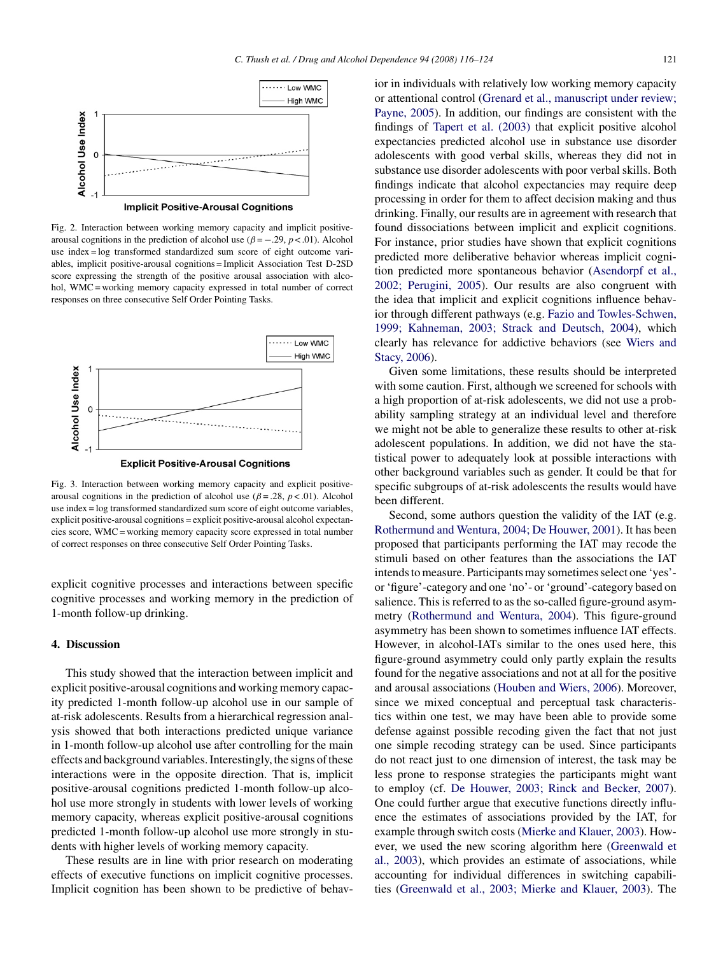<span id="page-5-0"></span>

Fig. 2. Interaction between working memory capacity and implicit positivearousal cognitions in the prediction of alcohol use  $(\beta = -0.29, p < 0.01)$ . Alcohol use index = log transformed standardized sum score of eight outcome variables, implicit positive-arousal cognitions = Implicit Association Test D-2SD score expressing the strength of the positive arousal association with alcohol, WMC = working memory capacity expressed in total number of correct responses on three consecutive Self Order Pointing Tasks.



Fig. 3. Interaction between working memory capacity and explicit positivearousal cognitions in the prediction of alcohol use  $(\beta = .28, p < .01)$ . Alcohol use index = log transformed standardized sum score of eight outcome variables, explicit positive-arousal cognitions = explicit positive-arousal alcohol expectancies score, WMC = working memory capacity score expressed in total number of correct responses on three consecutive Self Order Pointing Tasks.

explicit cognitive processes and interactions between specific cognitive processes and working memory in the prediction of 1-month follow-up drinking.

## **4. Discussion**

This study showed that the interaction between implicit and explicit positive-arousal cognitions and working memory capacity predicted 1-month follow-up alcohol use in our sample of at-risk adolescents. Results from a hierarchical regression analysis showed that both interactions predicted unique variance in 1-month follow-up alcohol use after controlling for the main effects and background variables. Interestingly, the signs of these interactions were in the opposite direction. That is, implicit positive-arousal cognitions predicted 1-month follow-up alcohol use more strongly in students with lower levels of working memory capacity, whereas explicit positive-arousal cognitions predicted 1-month follow-up alcohol use more strongly in students with higher levels of working memory capacity.

These results are in line with prior research on moderating effects of executive functions on implicit cognitive processes. Implicit cognition has been shown to be predictive of behavior in individuals with relatively low working memory capacity or attentional control [\(Grenard et al., manuscript under review;](#page-8-0) [Payne, 2005\).](#page-8-0) In addition, our findings are consistent with the findings of [Tapert et al. \(2003\)](#page-8-0) that explicit positive alcohol expectancies predicted alcohol use in substance use disorder adolescents with good verbal skills, whereas they did not in substance use disorder adolescents with poor verbal skills. Both findings indicate that alcohol expectancies may require deep processing in order for them to affect decision making and thus drinking. Finally, our results are in agreement with research that found dissociations between implicit and explicit cognitions. For instance, prior studies have shown that explicit cognitions predicted more deliberative behavior whereas implicit cognition predicted more spontaneous behavior ([Asendorpf et al.,](#page-7-0) [2002; Perugini, 2005\).](#page-7-0) Our results are also congruent with the idea that implicit and explicit cognitions influence behavior through different pathways (e.g. [Fazio and Towles-Schwen,](#page-7-0) [1999; Kahneman, 2003; Strack and Deutsch, 2004\),](#page-7-0) which clearly has relevance for addictive behaviors (see [Wiers and](#page-8-0) [Stacy, 2006\).](#page-8-0)

Given some limitations, these results should be interpreted with some caution. First, although we screened for schools with a high proportion of at-risk adolescents, we did not use a probability sampling strategy at an individual level and therefore we might not be able to generalize these results to other at-risk adolescent populations. In addition, we did not have the statistical power to adequately look at possible interactions with other background variables such as gender. It could be that for specific subgroups of at-risk adolescents the results would have been different.

Second, some authors question the validity of the IAT (e.g. [Rothermund and Wentura, 2004; De Houwer, 2001\).](#page-8-0) It has been proposed that participants performing the IAT may recode the stimuli based on other features than the associations the IAT intends to measure. Participants may sometimes select one 'yes' or 'figure'-category and one 'no'- or 'ground'-category based on salience. This is referred to as the so-called figure-ground asymmetry ([Rothermund and Wentura, 2004\).](#page-8-0) This figure-ground asymmetry has been shown to sometimes influence IAT effects. However, in alcohol-IATs similar to the ones used here, this figure-ground asymmetry could only partly explain the results found for the negative associations and not at all for the positive and arousal associations ([Houben and Wiers, 2006\).](#page-8-0) Moreover, since we mixed conceptual and perceptual task characteristics within one test, we may have been able to provide some defense against possible recoding given the fact that not just one simple recoding strategy can be used. Since participants do not react just to one dimension of interest, the task may be less prone to response strategies the participants might want to employ (cf. [De Houwer, 2003; Rinck and Becker, 2007\).](#page-7-0) One could further argue that executive functions directly influence the estimates of associations provided by the IAT, for example through switch costs ([Mierke and Klauer, 2003\).](#page-8-0) However, we used the new scoring algorithm here [\(Greenwald et](#page-8-0) [al., 2003\),](#page-8-0) which provides an estimate of associations, while accounting for individual differences in switching capabilities ([Greenwald et al., 2003; Mierke and Klauer, 2003\).](#page-8-0) The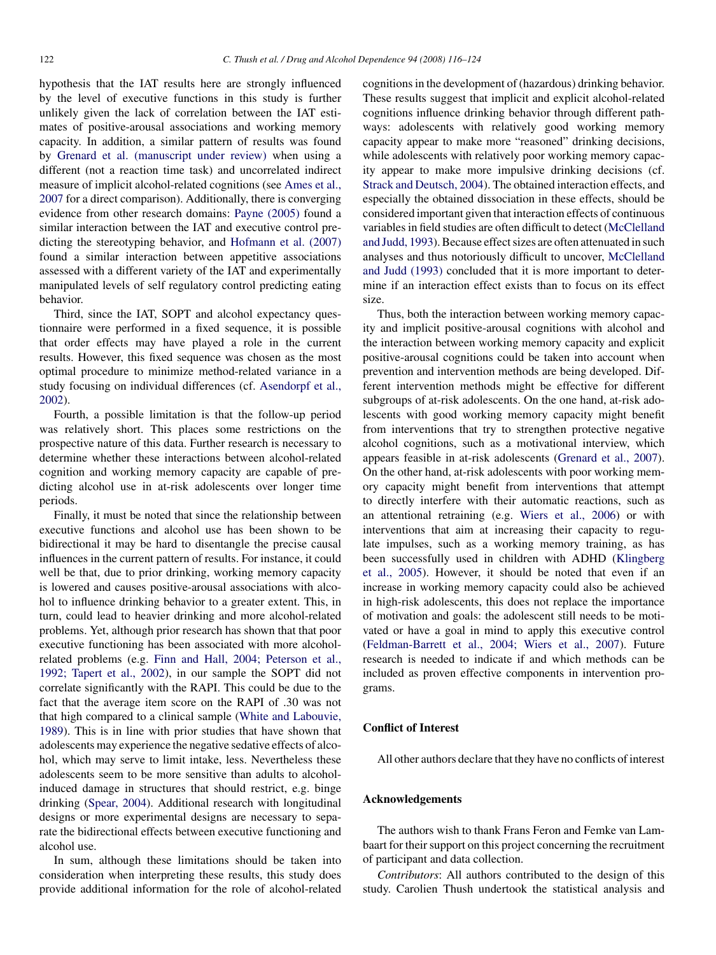hypothesis that the IAT results here are strongly influenced by the level of executive functions in this study is further unlikely given the lack of correlation between the IAT estimates of positive-arousal associations and working memory capacity. In addition, a similar pattern of results was found by [Grenard et al. \(manuscript under review\)](#page-8-0) when using a different (not a reaction time task) and uncorrelated indirect measure of implicit alcohol-related cognitions (see [Ames et al.,](#page-7-0) [2007](#page-7-0) for a direct comparison). Additionally, there is converging evidence from other research domains: [Payne \(2005\)](#page-8-0) found a similar interaction between the IAT and executive control predicting the stereotyping behavior, and [Hofmann et al. \(2007\)](#page-8-0) found a similar interaction between appetitive associations assessed with a different variety of the IAT and experimentally manipulated levels of self regulatory control predicting eating behavior.

Third, since the IAT, SOPT and alcohol expectancy questionnaire were performed in a fixed sequence, it is possible that order effects may have played a role in the current results. However, this fixed sequence was chosen as the most optimal procedure to minimize method-related variance in a study focusing on individual differences (cf. [Asendorpf et al.,](#page-7-0) [2002\).](#page-7-0)

Fourth, a possible limitation is that the follow-up period was relatively short. This places some restrictions on the prospective nature of this data. Further research is necessary to determine whether these interactions between alcohol-related cognition and working memory capacity are capable of predicting alcohol use in at-risk adolescents over longer time periods.

Finally, it must be noted that since the relationship between executive functions and alcohol use has been shown to be bidirectional it may be hard to disentangle the precise causal influences in the current pattern of results. For instance, it could well be that, due to prior drinking, working memory capacity is lowered and causes positive-arousal associations with alcohol to influence drinking behavior to a greater extent. This, in turn, could lead to heavier drinking and more alcohol-related problems. Yet, although prior research has shown that that poor executive functioning has been associated with more alcoholrelated problems (e.g. [Finn and Hall, 2004; Peterson et al.,](#page-8-0) [1992; Tapert et al., 2002\),](#page-8-0) in our sample the SOPT did not correlate significantly with the RAPI. This could be due to the fact that the average item score on the RAPI of .30 was not that high compared to a clinical sample ([White and Labouvie,](#page-8-0) [1989\).](#page-8-0) This is in line with prior studies that have shown that adolescents may experience the negative sedative effects of alcohol, which may serve to limit intake, less. Nevertheless these adolescents seem to be more sensitive than adults to alcoholinduced damage in structures that should restrict, e.g. binge drinking ([Spear, 2004\).](#page-8-0) Additional research with longitudinal designs or more experimental designs are necessary to separate the bidirectional effects between executive functioning and alcohol use.

In sum, although these limitations should be taken into consideration when interpreting these results, this study does provide additional information for the role of alcohol-related cognitions in the development of (hazardous) drinking behavior. These results suggest that implicit and explicit alcohol-related cognitions influence drinking behavior through different pathways: adolescents with relatively good working memory capacity appear to make more "reasoned" drinking decisions, while adolescents with relatively poor working memory capacity appear to make more impulsive drinking decisions (cf. [Strack and Deutsch, 2004\).](#page-8-0) The obtained interaction effects, and especially the obtained dissociation in these effects, should be considered important given that interaction effects of continuous variables in field studies are often difficult to detect ([McClelland](#page-8-0) [and Judd, 1993\).](#page-8-0) Because effect sizes are often attenuated in such analyses and thus notoriously difficult to uncover, [McClelland](#page-8-0) [and Judd \(1993\)](#page-8-0) concluded that it is more important to determine if an interaction effect exists than to focus on its effect size.

Thus, both the interaction between working memory capacity and implicit positive-arousal cognitions with alcohol and the interaction between working memory capacity and explicit positive-arousal cognitions could be taken into account when prevention and intervention methods are being developed. Different intervention methods might be effective for different subgroups of at-risk adolescents. On the one hand, at-risk adolescents with good working memory capacity might benefit from interventions that try to strengthen protective negative alcohol cognitions, such as a motivational interview, which appears feasible in at-risk adolescents [\(Grenard et al., 2007\).](#page-8-0) On the other hand, at-risk adolescents with poor working memory capacity might benefit from interventions that attempt to directly interfere with their automatic reactions, such as an attentional retraining (e.g. [Wiers et al., 2006\)](#page-8-0) or with interventions that aim at increasing their capacity to regulate impulses, such as a working memory training, as has been successfully used in children with ADHD ([Klingberg](#page-8-0) [et al., 2005\).](#page-8-0) However, it should be noted that even if an increase in working memory capacity could also be achieved in high-risk adolescents, this does not replace the importance of motivation and goals: the adolescent still needs to be motivated or have a goal in mind to apply this executive control [\(Feldman-Barrett et al., 2004; Wiers et al., 2007\).](#page-7-0) Future research is needed to indicate if and which methods can be included as proven effective components in intervention programs.

#### **Conflict of Interest**

All other authors declare that they have no conflicts of interest

## **Acknowledgements**

The authors wish to thank Frans Feron and Femke van Lambaart for their support on this project concerning the recruitment of participant and data collection.

*Contributors*: All authors contributed to the design of this study. Carolien Thush undertook the statistical analysis and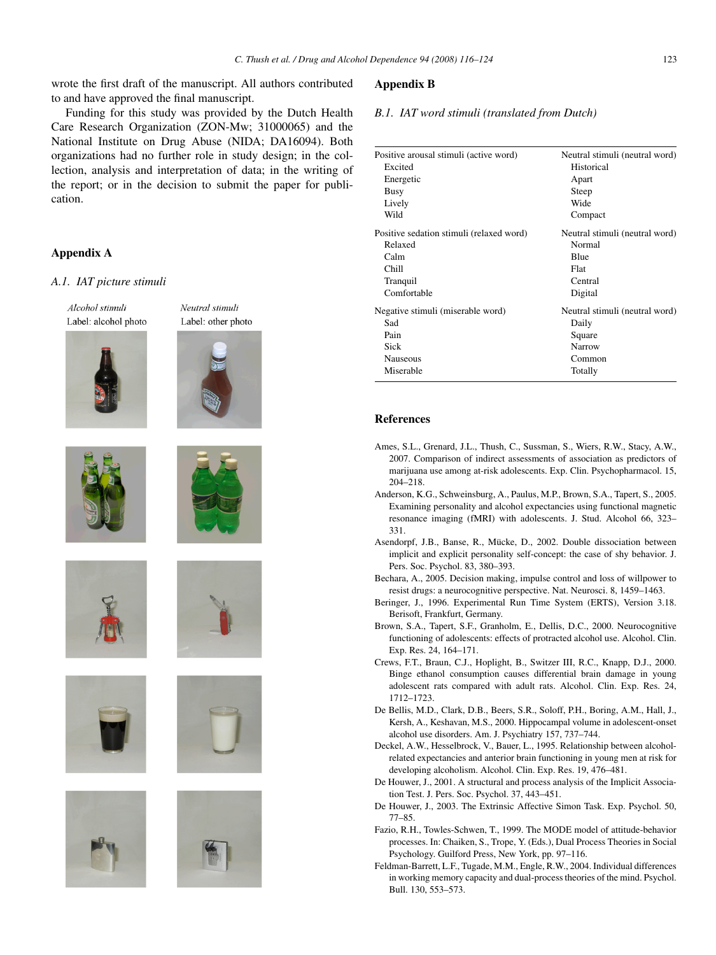<span id="page-7-0"></span>wrote the first draft of the manuscript. All authors contributed to and have approved the final manuscript.

Funding for this study was provided by the Dutch Health Care Research Organization (ZON-Mw; 31000065) and the National Institute on Drug Abuse (NIDA; DA16094). Both organizations had no further role in study design; in the collection, analysis and interpretation of data; in the writing of the report; or in the decision to submit the paper for publication.

## **Appendix A**

## *A.1. IAT picture stimuli*

Alcohol stimuli Label: alcohol photo





Neutral stimuli















## **Appendix B**

#### *B.1. IAT word stimuli (translated from Dutch)*

| Positive arousal stimuli (active word)   | Neutral stimuli (neutral word) |
|------------------------------------------|--------------------------------|
| Excited                                  | Historical                     |
| Energetic                                | Apart                          |
| Busy                                     | Steep                          |
| Lively                                   | Wide                           |
| Wild                                     | Compact                        |
| Positive sedation stimuli (relaxed word) | Neutral stimuli (neutral word) |
| Relaxed                                  | Normal                         |
| Calm                                     | Blue                           |
| Chill                                    | Flat                           |
| Tranquil                                 | Central                        |
| Comfortable                              | Digital                        |
| Negative stimuli (miserable word)        | Neutral stimuli (neutral word) |
| Sad                                      | Daily                          |
| Pain                                     | Square                         |
| Sick                                     | Narrow                         |
| Nauseous                                 | Common                         |
| Miserable                                | Totally                        |

## **References**

- Ames, S.L., Grenard, J.L., Thush, C., Sussman, S., Wiers, R.W., Stacy, A.W., 2007. Comparison of indirect assessments of association as predictors of marijuana use among at-risk adolescents. Exp. Clin. Psychopharmacol. 15, 204–218.
- Anderson, K.G., Schweinsburg, A., Paulus, M.P., Brown, S.A., Tapert, S., 2005. Examining personality and alcohol expectancies using functional magnetic resonance imaging (fMRI) with adolescents. J. Stud. Alcohol 66, 323– 331.
- Asendorpf, J.B., Banse, R., Mücke, D., 2002. Double dissociation between implicit and explicit personality self-concept: the case of shy behavior. J. Pers. Soc. Psychol. 83, 380–393.
- Bechara, A., 2005. Decision making, impulse control and loss of willpower to resist drugs: a neurocognitive perspective. Nat. Neurosci. 8, 1459–1463.
- Beringer, J., 1996. Experimental Run Time System (ERTS), Version 3.18. Berisoft, Frankfurt, Germany.
- Brown, S.A., Tapert, S.F., Granholm, E., Dellis, D.C., 2000. Neurocognitive functioning of adolescents: effects of protracted alcohol use. Alcohol. Clin. Exp. Res. 24, 164–171.
- Crews, F.T., Braun, C.J., Hoplight, B., Switzer III, R.C., Knapp, D.J., 2000. Binge ethanol consumption causes differential brain damage in young adolescent rats compared with adult rats. Alcohol. Clin. Exp. Res. 24, 1712–1723.
- De Bellis, M.D., Clark, D.B., Beers, S.R., Soloff, P.H., Boring, A.M., Hall, J., Kersh, A., Keshavan, M.S., 2000. Hippocampal volume in adolescent-onset alcohol use disorders. Am. J. Psychiatry 157, 737–744.
- Deckel, A.W., Hesselbrock, V., Bauer, L., 1995. Relationship between alcoholrelated expectancies and anterior brain functioning in young men at risk for developing alcoholism. Alcohol. Clin. Exp. Res. 19, 476–481.
- De Houwer, J., 2001. A structural and process analysis of the Implicit Association Test. J. Pers. Soc. Psychol. 37, 443–451.
- De Houwer, J., 2003. The Extrinsic Affective Simon Task. Exp. Psychol. 50, 77–85.
- Fazio, R.H., Towles-Schwen, T., 1999. The MODE model of attitude-behavior processes. In: Chaiken, S., Trope, Y. (Eds.), Dual Process Theories in Social Psychology. Guilford Press, New York, pp. 97–116.
- Feldman-Barrett, L.F., Tugade, M.M., Engle, R.W., 2004. Individual differences in working memory capacity and dual-process theories of the mind. Psychol. Bull. 130, 553–573.